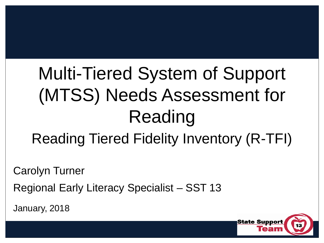# Multi-Tiered System of Support (MTSS) Needs Assessment for Reading Reading Tiered Fidelity Inventory (R-TFI)

Carolyn Turner

Regional Early Literacy Specialist – SST 13

January, 2018

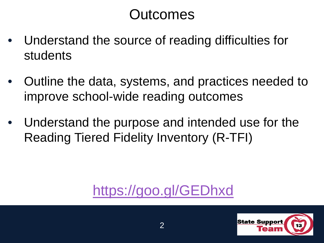#### **Outcomes**

- Understand the source of reading difficulties for students
- Outline the data, systems, and practices needed to improve school-wide reading outcomes
- Understand the purpose and intended use for the Reading Tiered Fidelity Inventory (R-TFI)

### <https://goo.gl/GEDhxd>

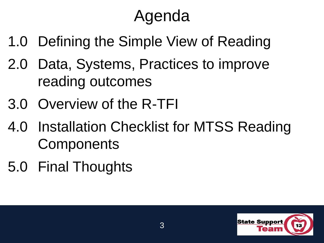# Agenda

- 1.0 Defining the Simple View of Reading
- 2.0 Data, Systems, Practices to improve reading outcomes
- 3.0 Overview of the R-TFI
- 4.0 Installation Checklist for MTSS Reading **Components**
- 5.0 Final Thoughts

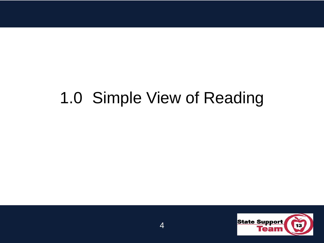### 1.0 Simple View of Reading

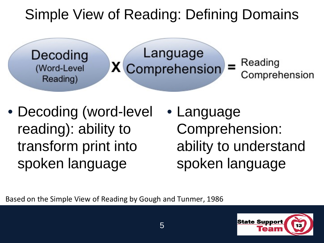### Simple View of Reading: Defining Domains

Decoding (Word-Level Reading)

Language **X** Comprehension

Reading Comprehension

- Decoding (word-level reading): ability to transform print into spoken language
- Language Comprehension: ability to understand spoken language

Based on the Simple View of Reading by Gough and Tunmer, 1986

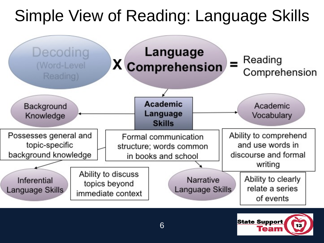## Simple View of Reading: Language Skills



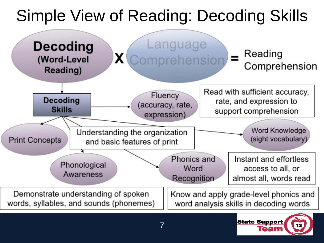## Simple View of Reading: Decoding Skills

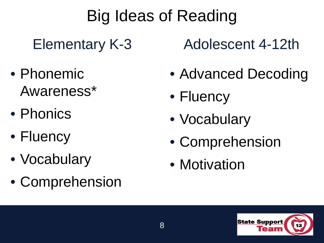## Big Ideas of Reading

Elementary K-3

- Phonemic Awareness\*
- Phonics
- Fluency
- Vocabulary
- Comprehension

Adolescent 4-12th

- Advanced Decoding
- Fluency
- Vocabulary
- Comprehension
- Motivation

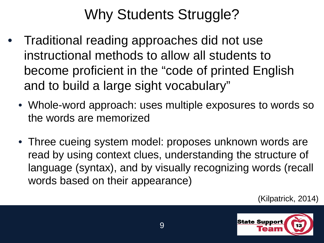### Why Students Struggle?

- Traditional reading approaches did not use instructional methods to allow all students to become proficient in the "code of printed English and to build a large sight vocabulary"
	- Whole-word approach: uses multiple exposures to words so the words are memorized
	- Three cueing system model: proposes unknown words are read by using context clues, understanding the structure of language (syntax), and by visually recognizing words (recall words based on their appearance)

(Kilpatrick, 2014)

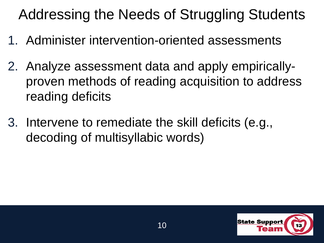Addressing the Needs of Struggling Students

- 1. Administer intervention-oriented assessments
- 2. Analyze assessment data and apply empiricallyproven methods of reading acquisition to address reading deficits
- 3. Intervene to remediate the skill deficits (e.g., decoding of multisyllabic words)

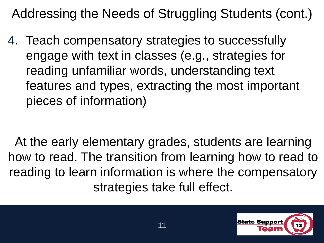Addressing the Needs of Struggling Students (cont.)

4. Teach compensatory strategies to successfully engage with text in classes (e.g., strategies for reading unfamiliar words, understanding text features and types, extracting the most important pieces of information)

At the early elementary grades, students are learning how to read. The transition from learning how to read to reading to learn information is where the compensatory strategies take full effect.

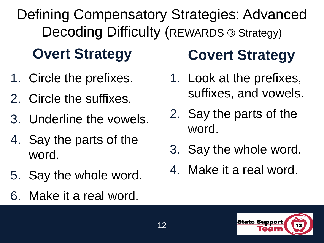Defining Compensatory Strategies: Advanced Decoding Difficulty (REWARDS ® Strategy)

### **Overt Strategy**

- 1. Circle the prefixes.
- 2. Circle the suffixes.
- 3. Underline the vowels.
- 4. Say the parts of the word.
- 5. Say the whole word.
- 6. Make it a real word.

## **Covert Strategy**

- 1. Look at the prefixes, suffixes, and vowels.
- 2. Say the parts of the word.
- 3. Say the whole word.
- 4. Make it a real word.

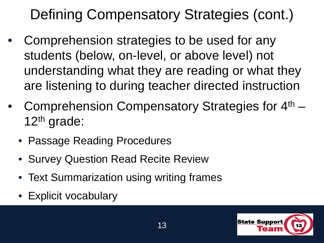## Defining Compensatory Strategies (cont.)

- Comprehension strategies to be used for any students (below, on-level, or above level) not understanding what they are reading or what they are listening to during teacher directed instruction
- Comprehension Compensatory Strategies for 4<sup>th</sup> 12th grade:
	- Passage Reading Procedures
	- Survey Question Read Recite Review
	- Text Summarization using writing frames
	- Explicit vocabulary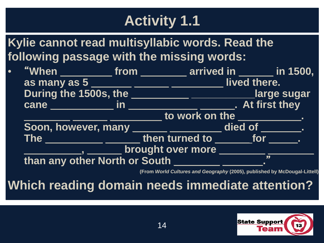### **Activity 1.1**

**Kylie cannot read multisyllabic words. Read the following passage with the missing words:**

|  | "When _____________ from __________ arrived in ________ in 1500, |                       |                             |                                                             |  |  |
|--|------------------------------------------------------------------|-----------------------|-----------------------------|-------------------------------------------------------------|--|--|
|  | as many as 5                                                     |                       | <u> Tanzania (h. 1888).</u> | lived there.                                                |  |  |
|  | During the 1500s, the                                            |                       |                             | <u>Letter Large</u> sugar                                   |  |  |
|  | $\mathsf{cane} \_\_\_\_\_\_\$ in                                 |                       |                             | At first they                                               |  |  |
|  |                                                                  | to work on the $\_\_$ |                             |                                                             |  |  |
|  |                                                                  |                       |                             | Soon, however, many ____________________ died of _________. |  |  |
|  | The ____________________then turned to ________ for ______.      |                       |                             |                                                             |  |  |
|  | _, _______ brought over more ____________                        |                       |                             |                                                             |  |  |
|  | than any other North or South __________                         |                       |                             |                                                             |  |  |
|  |                                                                  |                       |                             |                                                             |  |  |

**(From** *World Cultures and Geography* **(2005), published by McDougal-Littell)**

**Which reading domain needs immediate attention?**

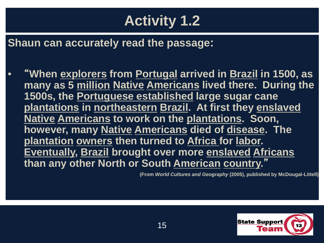### **Activity 1.2**

**Shaun can accurately read the passage:**

• "**When explorers from Portugal arrived in Brazil in 1500, as many as 5 million Native Americans lived there. During the 1500s, the Portuguese established large sugar cane plantations in northeastern Brazil. At first they enslaved Native Americans to work on the plantations. Soon, however, many Native Americans died of disease. The plantation owners then turned to Africa for labor. Eventually, Brazil brought over more enslaved Africans than any other North or South American country.**"

**(From** *World Cultures and Geography* **(2005), published by McDougal-Littell)**

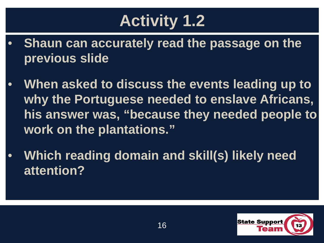# **Activity 1.2**

- **Shaun can accurately read the passage on the previous slide**
- **When asked to discuss the events leading up to why the Portuguese needed to enslave Africans, his answer was, "because they needed people to work on the plantations."**
- **Which reading domain and skill(s) likely need attention?**

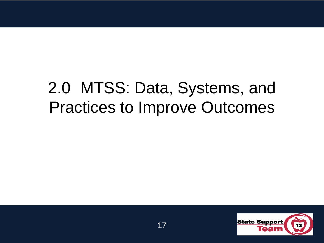## 2.0 MTSS: Data, Systems, and Practices to Improve Outcomes

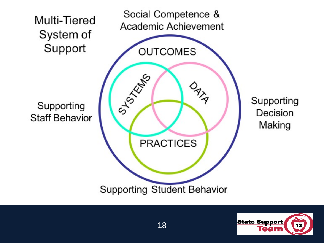

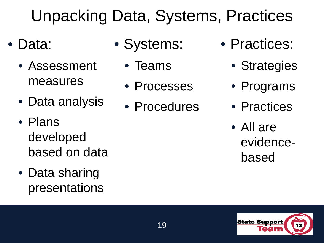# Unpacking Data, Systems, Practices

- Data:
	- Assessment measures
	- Data analysis
	- Plans developed based on data
	- Data sharing presentations
- Systems:
	- Teams
	- Processes
	- Procedures
- Practices:
	- Strategies
	- Programs
	- Practices
	- All are evidencebased

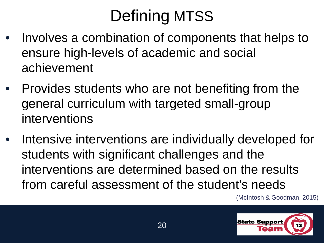# Defining MTSS

- Involves a combination of components that helps to ensure high-levels of academic and social achievement
- Provides students who are not benefiting from the general curriculum with targeted small-group interventions
- Intensive interventions are individually developed for students with significant challenges and the interventions are determined based on the results from careful assessment of the student's needs

(McIntosh & Goodman, 2015)

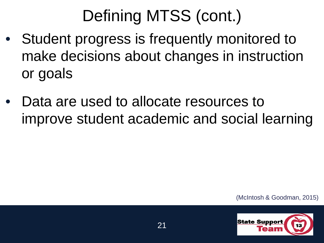# Defining MTSS (cont.)

- Student progress is frequently monitored to make decisions about changes in instruction or goals
- Data are used to allocate resources to improve student academic and social learning

(McIntosh & Goodman, 2015)

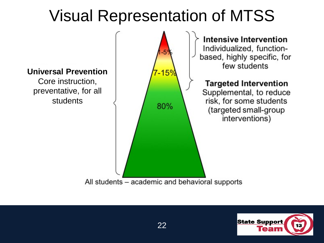## Visual Representation of MTSS



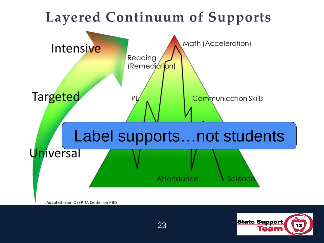

**State Support**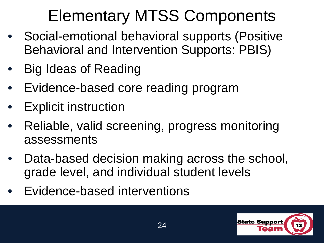# Elementary MTSS Components

- Social-emotional behavioral supports (Positive Behavioral and Intervention Supports: PBIS)
- Big Ideas of Reading
- Evidence-based core reading program
- **Explicit instruction**
- Reliable, valid screening, progress monitoring assessments
- Data-based decision making across the school, grade level, and individual student levels
- Evidence-based interventions

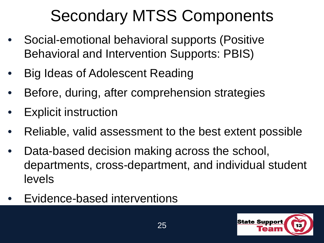# Secondary MTSS Components

- Social-emotional behavioral supports (Positive Behavioral and Intervention Supports: PBIS)
- Big Ideas of Adolescent Reading
- Before, during, after comprehension strategies
- **Explicit instruction**
- Reliable, valid assessment to the best extent possible
- Data-based decision making across the school, departments, cross-department, and individual student levels
- Evidence-based interventions

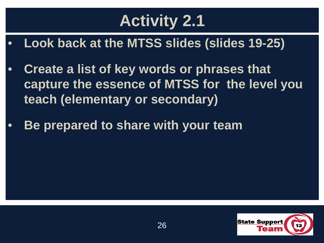# **Activity 2.1**

- **Look back at the MTSS slides (slides 19-25)**
- **Create a list of key words or phrases that capture the essence of MTSS for the level you teach (elementary or secondary)**
- **Be prepared to share with your team**

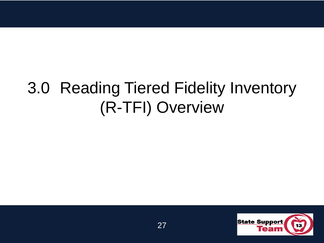## 3.0 Reading Tiered Fidelity Inventory (R-TFI) Overview

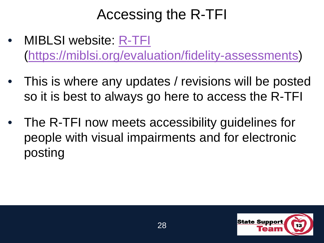#### Accessing the R-TFI

- MIBLSI website: [R-TFI](https://miblsi.org/evaluation/fidelity-assessments) (<https://miblsi.org/evaluation/fidelity-assessments>)
- This is where any updates / revisions will be posted so it is best to always go here to access the R-TFI
- The R-TFI now meets accessibility guidelines for people with visual impairments and for electronic posting

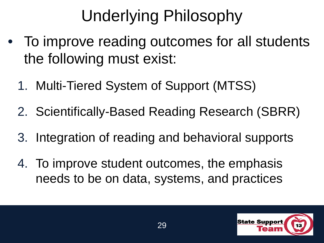# Underlying Philosophy

- To improve reading outcomes for all students the following must exist:
	- 1. Multi-Tiered System of Support (MTSS)
	- 2. Scientifically-Based Reading Research (SBRR)
	- 3. Integration of reading and behavioral supports
	- 4. To improve student outcomes, the emphasis needs to be on data, systems, and practices

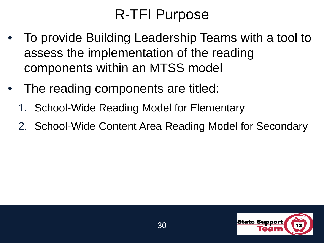### R-TFI Purpose

- To provide Building Leadership Teams with a tool to assess the implementation of the reading components within an MTSS model
- The reading components are titled:
	- 1. School-Wide Reading Model for Elementary
	- 2. School-Wide Content Area Reading Model for Secondary

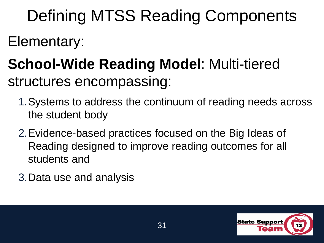Defining MTSS Reading Components

Elementary:

### **School-Wide Reading Model**: Multi-tiered structures encompassing:

- 1.Systems to address the continuum of reading needs across the student body
- 2.Evidence-based practices focused on the Big Ideas of Reading designed to improve reading outcomes for all students and
- 3.Data use and analysis

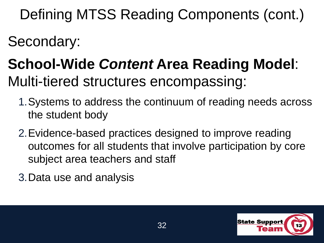Defining MTSS Reading Components (cont.)

Secondary:

## **School-Wide** *Content* **Area Reading Model**: Multi-tiered structures encompassing:

- 1.Systems to address the continuum of reading needs across the student body
- 2.Evidence-based practices designed to improve reading outcomes for all students that involve participation by core subject area teachers and staff

3.Data use and analysis

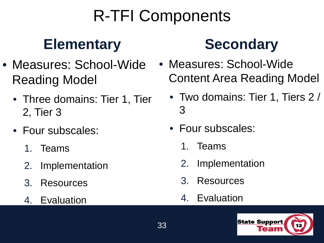# R-TFI Components

### **Elementary**

- Measures: School-Wide Reading Model
	- Three domains: Tier 1, Tier 2, Tier 3
	- Four subscales:
		- 1. Teams
		- 2. Implementation
		- 3. Resources
		- 4. Evaluation

### **Secondary**

- Measures: School-Wide Content Area Reading Model
	- Two domains: Tier 1, Tiers 2 / 3
	- Four subscales:
		- 1. Teams
		- 2. Implementation
		- 3. Resources
		- 4. Evaluation

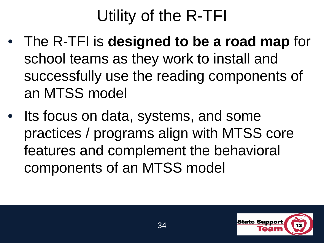# Utility of the R-TFI

- The R-TFI is **designed to be a road map** for school teams as they work to install and successfully use the reading components of an MTSS model
- Its focus on data, systems, and some practices / programs align with MTSS core features and complement the behavioral components of an MTSS model

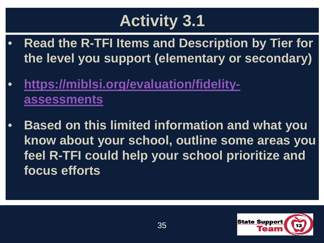# **Activity 3.1**

- **Read the R-TFI Items and Description by Tier for the level you support (elementary or secondary)**
- **[https://miblsi.org/evaluation/fidelity](https://miblsi.org/evaluation/fidelity-assessments)assessments**
- **Based on this limited information and what you know about your school, outline some areas you feel R-TFI could help your school prioritize and focus efforts**

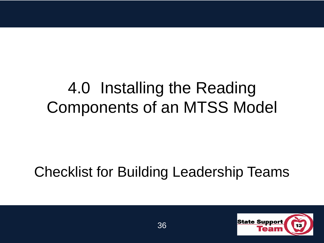## 4.0 Installing the Reading Components of an MTSS Model

#### Checklist for Building Leadership Teams

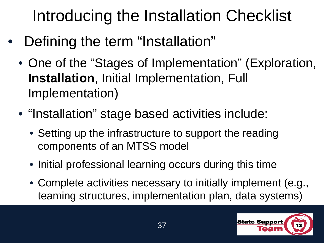Introducing the Installation Checklist

- Defining the term "Installation"
	- One of the "Stages of Implementation" (Exploration, **Installation**, Initial Implementation, Full Implementation)
	- "Installation" stage based activities include:
		- Setting up the infrastructure to support the reading components of an MTSS model
		- Initial professional learning occurs during this time
		- Complete activities necessary to initially implement (e.g., teaming structures, implementation plan, data systems)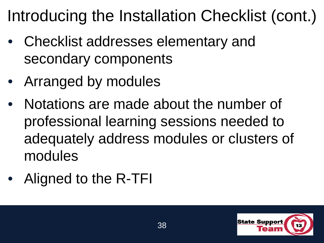# Introducing the Installation Checklist (cont.)

- Checklist addresses elementary and secondary components
- Arranged by modules
- Notations are made about the number of professional learning sessions needed to adequately address modules or clusters of modules
- Aligned to the R-TFI

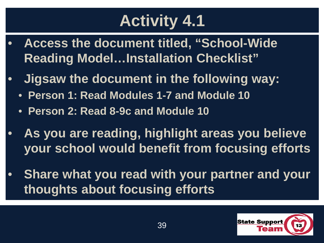# **Activity 4.1**

- **Access the document titled, "School-Wide Reading Model…Installation Checklist"**
- **Jigsaw the document in the following way:**
	- **Person 1: Read Modules 1-7 and Module 10**
	- **Person 2: Read 8-9c and Module 10**
- **As you are reading, highlight areas you believe your school would benefit from focusing efforts**
- **Share what you read with your partner and your thoughts about focusing efforts**

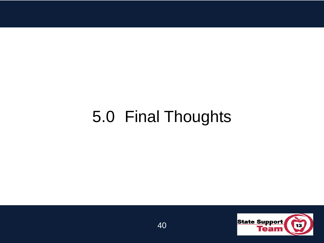## 5.0 Final Thoughts

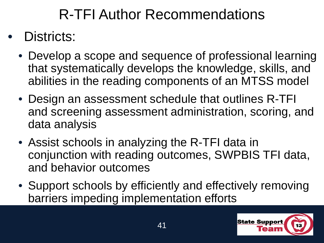### R-TFI Author Recommendations

#### • Districts:

- Develop a scope and sequence of professional learning that systematically develops the knowledge, skills, and abilities in the reading components of an MTSS model
- Design an assessment schedule that outlines R-TFI and screening assessment administration, scoring, and data analysis
- Assist schools in analyzing the R-TFI data in conjunction with reading outcomes, SWPBIS TFI data, and behavior outcomes
- Support schools by efficiently and effectively removing barriers impeding implementation efforts

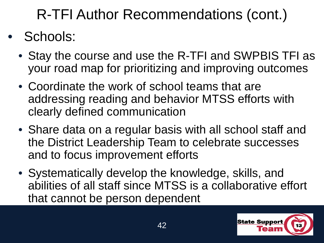R-TFI Author Recommendations (cont.)

#### • Schools:

- Stay the course and use the R-TFI and SWPBIS TFI as your road map for prioritizing and improving outcomes
- Coordinate the work of school teams that are addressing reading and behavior MTSS efforts with clearly defined communication
- Share data on a regular basis with all school staff and the District Leadership Team to celebrate successes and to focus improvement efforts
- Systematically develop the knowledge, skills, and abilities of all staff since MTSS is a collaborative effort that cannot be person dependent

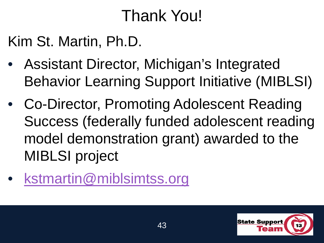## Thank You!

Kim St. Martin, Ph.D.

- Assistant Director, Michigan's Integrated Behavior Learning Support Initiative (MIBLSI)
- Co-Director, Promoting Adolescent Reading Success (federally funded adolescent reading model demonstration grant) awarded to the MIBLSI project
- [kstmartin@miblsimtss.org](mailto:stmartin@miblsimtss.org)